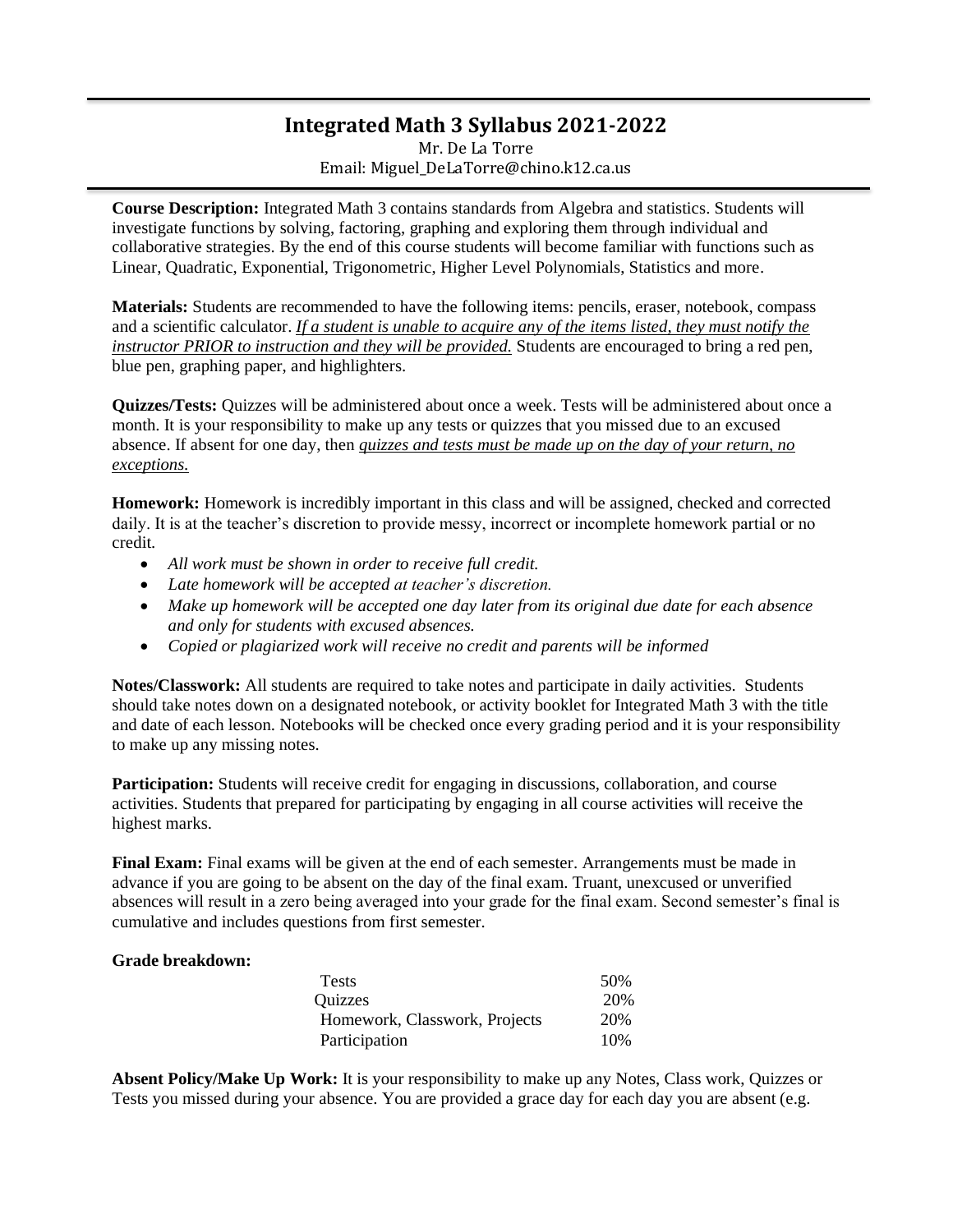## **Integrated Math 3 Syllabus 2021-2022**

Mr. De La Torre Email: Miguel\_DeLaTorre@chino.k12.ca.us

**Course Description:** Integrated Math 3 contains standards from Algebra and statistics. Students will investigate functions by solving, factoring, graphing and exploring them through individual and collaborative strategies. By the end of this course students will become familiar with functions such as Linear, Quadratic, Exponential, Trigonometric, Higher Level Polynomials, Statistics and more.

**Materials:** Students are recommended to have the following items: pencils, eraser, notebook, compass and a scientific calculator. *If a student is unable to acquire any of the items listed, they must notify the instructor PRIOR to instruction and they will be provided.* Students are encouraged to bring a red pen, blue pen, graphing paper, and highlighters.

**Quizzes/Tests:** Quizzes will be administered about once a week. Tests will be administered about once a month. It is your responsibility to make up any tests or quizzes that you missed due to an excused absence. If absent for one day, then *quizzes and tests must be made up on the day of your return, no exceptions.*

**Homework:** Homework is incredibly important in this class and will be assigned, checked and corrected daily. It is at the teacher's discretion to provide messy, incorrect or incomplete homework partial or no credit.

- *All work must be shown in order to receive full credit.*
- *Late homework will be accepted at teacher's discretion.*
- *Make up homework will be accepted one day later from its original due date for each absence and only for students with excused absences.*
- *Copied or plagiarized work will receive no credit and parents will be informed*

**Notes/Classwork:** All students are required to take notes and participate in daily activities. Students should take notes down on a designated notebook, or activity booklet for Integrated Math 3 with the title and date of each lesson. Notebooks will be checked once every grading period and it is your responsibility to make up any missing notes.

**Participation:** Students will receive credit for engaging in discussions, collaboration, and course activities. Students that prepared for participating by engaging in all course activities will receive the highest marks.

**Final Exam:** Final exams will be given at the end of each semester. Arrangements must be made in advance if you are going to be absent on the day of the final exam. Truant, unexcused or unverified absences will result in a zero being averaged into your grade for the final exam. Second semester's final is cumulative and includes questions from first semester.

## **Grade breakdown:**

| <b>Tests</b>                  | 50% |
|-------------------------------|-----|
| Quizzes                       | 20% |
| Homework, Classwork, Projects | 20% |
| Participation                 | 10% |

**Absent Policy/Make Up Work:** It is your responsibility to make up any Notes, Class work, Quizzes or Tests you missed during your absence. You are provided a grace day for each day you are absent (e.g.